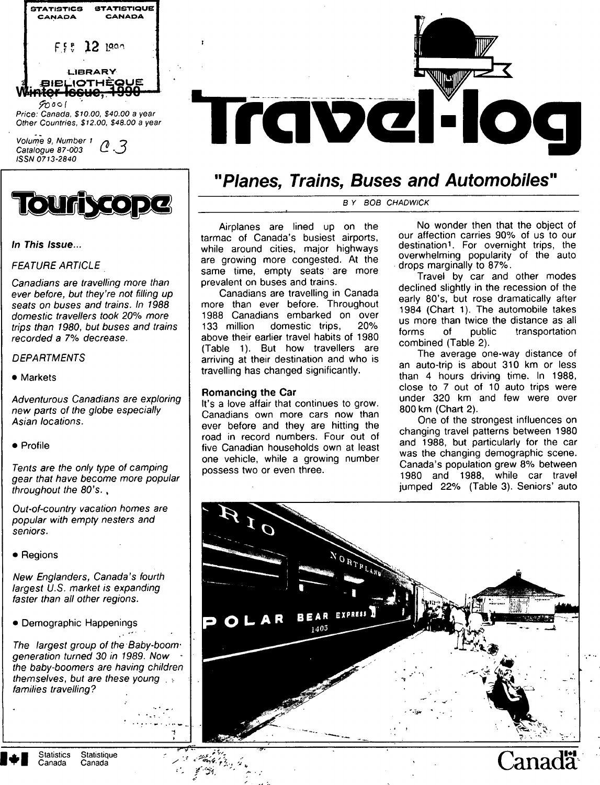



# **In This Issue...**

# FEATURE ARTICLE

Canadians are travelling more than ever before, but they're not filling up seats on buses and trains. In 1988 domestic travellers took 20% more trips than 1980, but buses and trains recorded a 7% decrease.

# **DEPARTMENTS**

• Markets

Adventurous Canadians are exploring new parts of the globe especially Asian locations.

• Profile

Tents are the only type of camping gear that have become more popular throughout the 80's. ,

Out-of-country vacation homes are popular with empty nesters and seniors.

• Regions

New Englanders, Canada's fourth largest U.S. market is expanding faster than all other regions.

• Demographic Happenings

The largest group of the Baby-boomgeneration turned 30 in 1989. Now • the baby-boomers are having children themselves, but are these young families travelling?

-T-?-



# **"Planes, Trains, Buses and Automobiles"**

B Y BOB CHADWICK

Airplanes are lined up on the tarmac of Canada's busiest airports, while around cities, major highways are growing more congested. At the same time, empty seats are more prevalent on buses and trains.

Canadians are travelling in Canada more than ever before. Throughout 1988 Canadians embarked on over<br>133 million domestic trips. 20% domestic trips, above their earlier travel habits of 1980 (Table 1). But how travellers are arriving at their destination and who is travelling has changed significantly.

# **Romancing the Car**

It's a love affair that continues to grow. Canadians own more cars now than ever before and they are hitting the road in record numbers. Four out of five Canadian households own at least one vehicle, while a growing number possess two or even three.

No wonder then that the object of our affection carries 90% of us to our destination<sup>1</sup>. For overnight trips, the overwhelming popularity of the auto drops marginally to 87%.

Travel by car and other modes declined slightly in the recession of the early 80's, but rose dramatically after 1984 (Chart 1). The automobile takes us more than twice the distance as all forms of public transportation combined (Table 2).

The average one-way distance of an auto-trip is about 310 km or less than 4 hours driving time. In 1988, close to 7 out of 10 auto trips were under 320 km and few were over 800 km (Chart 2).

One of the strongest influences on changing travel patterns between 1980 and 1988, but particularly for the car was the changing demographic scene. Canada's population grew 8% between 1980 and 1988, while car travel jumped 22% (Table 3). Seniors' auto



Statistics Statistique  $\mathbb{C}$ anada Canada Canada Canada Canada Canada Canada Canada Canada Canada Canada Canada Canada Canada Canada Canada Canada Canada Canada Canada Canada Canada Canada Canada Canada Canada Canada Ca

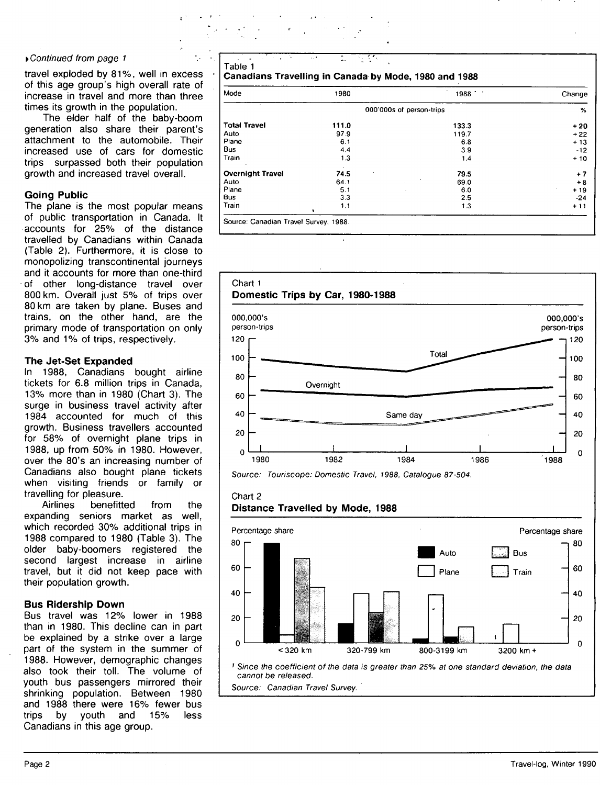#### yContinued from page 1

travel exploded by 81%, well in excess of this age group's high overall rate of increase in travel and more than three times its growth in the population.

The elder half of the baby-boom generation also share their parent's attachment to the automobile. Their increased use of cars for domestic trips surpassed both their population growth and increased travel overall.

#### **Going Public**

The plane is the most popular means of public transportation in Canada. It accounts for 25% of the distance travelled by Canadians within Canada (Table 2). Furthermore, it is close to monopolizing transcontinental journeys and it accounts for more than one-third of other long-distance travel over 800 km. Overall just 5% of trips over 80 km are taken by plane. Buses and trains, on the other hand, are the primary mode of transportation on only 3% and 1% of trips, respectively.

#### **The Jet-Set Expanded**

In 1988, Canadians bought airline tickets for 6.8 million trips in Canada, 13% more than in 1980 (Chart 3). The surge in business travel activity after 1984 accounted for much of this growth. Business travellers accounted for 58% of overnight plane trips in 1988, up from 50% in 1980. However, over the 80's an increasing number of Canadians also bought plane tickets when visiting friends or family or travelling for pleasure.

Airlines benefitted from the expanding seniors market as well, which recorded 30% additional trips in 1988 compared to 1980 (Table 3). The older baby-boomers registered the second largest increase in airline travel, but it did not keep pace with their population growth.

#### **Bus Ridership Down**

Bus travel was 12% lower in 1988 than in 1980. This decline can in part be explained by a strike over a large part of the system in the summer of 1988. However, demographic changes also took their toll. The volume of youth bus passengers mirrored their shrinking population. Between 1980 and 1988 there were 16% fewer bus trips by youth and 15% less Canadians in this age group.

Table 1 Canadians Travelling in Canada by Mode, 1980 and 1988 Mode **Total Travel**  Auto Plane Bus Train **Overnight Travel**  Auto Plane Bus 1980 **111.0**  979 6.1 4.4 1.3 74.5 64.1 5.1 3.3 OOO'OOOs of person-trips 1988 **133.3**  119.7 6.8 3.9 1.4 **79.5**  69.0 6.0 2.5 Change **%**  + 20 + 22  $+13$ -12  $+10$  $+ 7$ + 8 + 19 -24

1.3

 $+ 11$ 

Source: Canadian Travel Survey, 1988

1

1.1

Train



# **Distance Travelled by Mode, 1988**

Chart 2



Source: Canadian Travel Survey.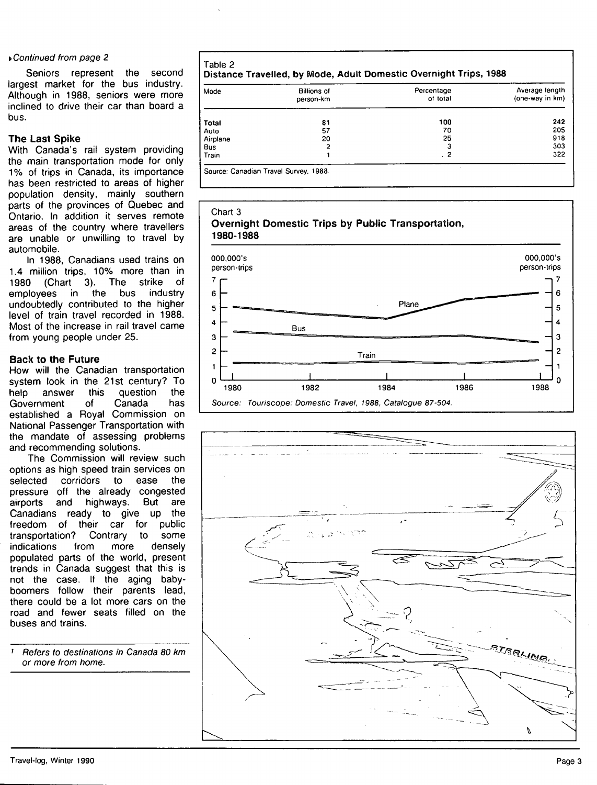#### y Continued from page 2

Seniors represent the second largest market for the bus industry. Although in 1988, seniors were more inclined to drive their car than board a bus.

# **The** Last Spike

With Canada's rail system providing the main transportation mode for only 1% of trips in Canada, its importance has been restricted to areas of higher population density, mainly southern parts of the provinces of Quebec and Ontario, in addition it serves remote areas of the country where travellers are unable or unwilling to travel by automobile.

In 1988, Canadians used trains on 1.4 million trips, 10% more than in 1980 (Chart 3). The strike of employees in the bus industry undoubtedly contributed to the higher level of train travel recorded in 1988. Most of the increase in rail travel came from young people under 25.

#### **Back to the Future**

How will the Canadian transportation system look in the 21st century? To help answer this question the<br>Government of Canada has Government of Canada has established a Royal Commission on National Passenger Transportation with the mandate of assessing problems and recommending solutions.

The Commission will review such options as high speed train services on selected corridors to ease the pressure off the already congested airports and highways. But are Canadians ready to give up the freedom of their car for public transportation? Contrary to some indications from more densely populated parts of the world, present trends in Canada suggest that this is not the case. If the aging babyboomers follow their parents lead, there could be a lot more cars on the road and fewer seats filled on the buses and trains.

' Refers to destinations in Canada 80 km or more from home.

**Table 2**  Distance Travelled, by Mode, Adult Domestic Overnight Trips, 1988

| Mode     | <b>Billions of</b><br>person-km | Percentage<br>of total | Average length<br>(one-way in km) |
|----------|---------------------------------|------------------------|-----------------------------------|
| Total    | 81                              | 100                    | 242                               |
| Auto     | 57                              | 70                     | 205                               |
| Airplane | 20                              | 25                     | 918                               |
| Bus      | 2                               | 3                      | 303                               |
| Train    |                                 | . 2                    | 322                               |

Source: Canadian Travel Survey, 1988.

# Chart 3 **Overnight Domestic Trips by Public Transportation, 1980-1988**



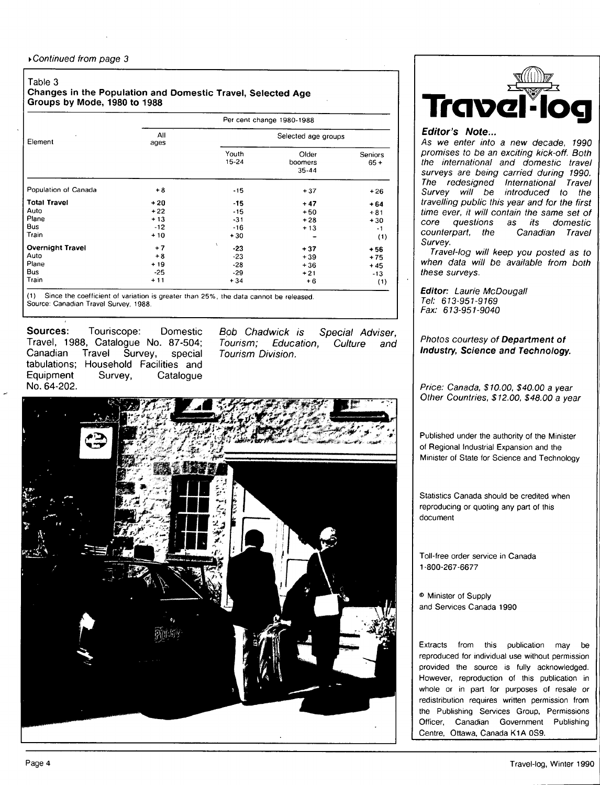#### **Table 3**

#### **Changes in the Population and Domestic Travel, Selected Age Groups by Mode, 1980 to 1988**

|                         | Per cent change 1980-1988 |                     |                               |                   |  |
|-------------------------|---------------------------|---------------------|-------------------------------|-------------------|--|
| Element                 | All<br>ages               | Selected age groups |                               |                   |  |
|                         |                           | Youth<br>15-24      | Older<br>boomers<br>$35 - 44$ | Seniors<br>$65 +$ |  |
| Population of Canada    | $+8$                      | $-15$               | $+37$                         | $+26$             |  |
| <b>Total Travel</b>     | $+20$                     | $-15$               | $+47$                         | $+64$             |  |
| Auto                    | $+22$                     | $-15$               | $+50$                         | $+81$             |  |
| Plane                   | $+13$                     | $-31$               | $+28$                         | $+30$             |  |
| <b>Bus</b>              | $-12$                     | $-16$               | $+13$                         | $-1$              |  |
| Train                   | $+10$                     | $+30$               |                               | (1)               |  |
| <b>Overnight Travel</b> | $+7$                      | v<br>$-23$          | $+37$                         | $+56$             |  |
| Auto                    | $+8$                      | $-23$               | $+39$                         | $+75$             |  |
| Plane                   | $+19$                     | $-28$               | $+36$                         | $+45$             |  |
| <b>Bus</b>              | $-25$                     | $-29$               | $+21$                         | $-13$             |  |
| Train                   | $+11$                     | $+34$               | $+6$                          | (1)               |  |

(1) Since the coefficient of variation is greater than 25% the data cannot be released. Source: Canadian Travel Survey, 1988.

**Sources: Touriscope: Domestic Travel, 1988, Catalogue No. 87-504; Canadian Travel Survey, special tabulations; Household Facilities and**  Survey, Catalogue **No. 64-202.** 

Bob Chadwick is Special Adviser, Tourism; Education, Culture and Tourism Division.





### **Editor's Note...**

As we enter into a new decade, 1990 promises to be an exciting kick-off. Both the international and domestic travel surveys are being carried during 1990. The redesigned International Travel Survey will be introduced to the travelling public this year and for the first time ever, it will contain the same set of core questions as its domestic counterpart, the Canadian Travel Survey.

Travel-log will keep you posted as to when data will be available from both these surveys.

**Editor:** Laurie McDougall Tel: 613-951-9169 Fax: 613-951-9040

Photos courtesy of **Department of Industry, Science and Technology.** 

Price: Canada, \$10.00, \$40.00 a year Other Countries, \$12.00, \$48.00 a year

Published under the authority of the Minister of Regional Industrial Expansion and the Minister of State for Science and Technology

Statistics Canada should be credited when reproducing or quoting any part of this document

Toll-free order service in Canada 1-800-267-6677

® Minister of Supply and Services Canada 1990

Extracts from this publication may be reproduced for individual use without permission provided the source is fully acknowledged. However, reproduction of this publication in whole or in part for purposes of resale or redistribution requires written permission from the Publishing Services Group, Permissions Officer, Canadian Government Publishing Centre, Ottawa, Canada K1A 0S9.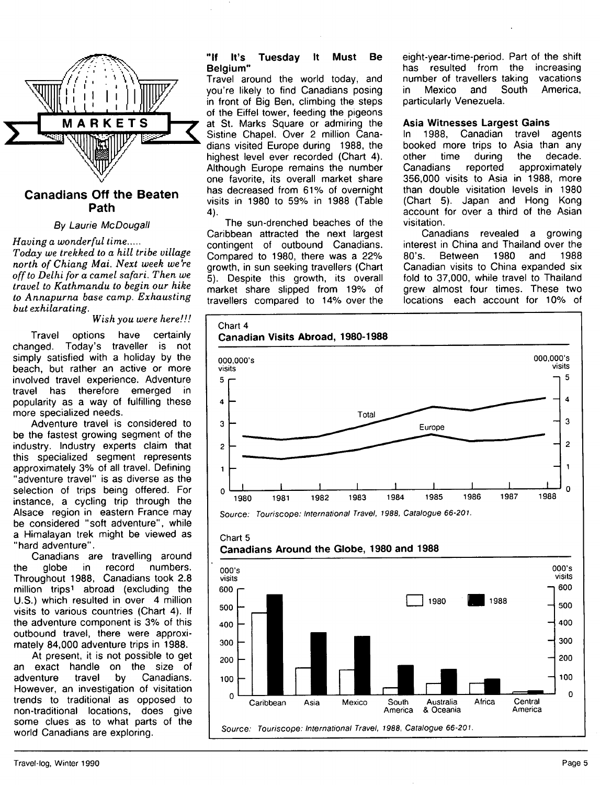

# **Canadians Off the Beaten Path**

# By Laurie McDougall

*Having a wonderful time Today we trekked to a hill tribe village north of Chiang Mai. Next week we're* 

*off to Delhi for a camel safari. Then we travel to Kathmandu to begin our hike to Annapurrux base camp. Exhausting but exhilarating.* 

*Wish you were here!!!* 

Travel options have certainly changed. Today's traveller is not simply satisfied with a holiday by the beach, but rather an active or more involved travel experience. Adventure travel has therefore emerged in popularity as a way of fulfilling these more specialized needs.

Adventure travel is considered to be the fastest growing segment of the industry. Industry experts claim that this specialized segment represents approximately 3% of all travel. Defining "adventure travel" is as diverse as the selection of trips being offered. For instance, a cycling trip through the Alsace region in eastern France may be considered "soft adventure", while a Himalayan trek might be viewed as "hard adventure".

Canadians are travelling around the globe in record numbers. Throughout 1988, Canadians took 2.8 million trips<sup>1</sup> abroad (excluding the U.S.) which resulted in over 4 million visits to various countries (Chart 4). If the adventure component is 3% of this outbound travel, there were approximately 84,000 adventure trips in 1988.

At present, it is not possible to get an exact handle on the size of adventure travel by Canadians. However, an investigation of visitation trends to traditional as opposed to non-traditional locations, does give some clues as to what parts of the world Canadians are exploring.

#### **"If It's Tuesday It Must Be Belgium"**

Travel around the world today, and you're likely to find Canadians posing in front of Big Ben, climbing the steps of the Eiffel tower, feeding the pigeons at St. Marks Square or admiring the Sistine Chapel. Over 2 million Canadians visited Europe during 1988, the highest level ever recorded (Chart 4). Although Europe remains the number one favorite, its overall market share has decreased from 61% of overnight visits in 1980 to 59% in 1988 (Table 4).

The sun-drenched beaches of the Caribbean attracted the next largest contingent of outbound Canadians. Compared to 1980, there was a 22% growth, in sun seeking travellers (Chart 5). Despite this growth, its overall market share slipped from 19% of travellers compared to 14% over the eight-year-time-period. Part of the shift has resulted from the increasing number of travellers taking vacations in Mexico and South America, particularly Venezuela.

#### **Asia Witnesses Largest Gains**

In 1988, Canadian travel agents booked more trips to Asia than any other time during the decade. Canadians reported approximately 356,000 visits to Asia in 1988, more than double visitation levels in 1980 (Chart 5). Japan and Hong Kong account for over a third of the Asian visitation.

Canadians revealed a growing interest in China and Thailand over the 80's. Between 1980 and 1988 Canadian visits to China expanded six fold to 37,000, while travel to Thailand grew almost four times. These two locations each account for 10% of





# **Canadians Around the Globe, 1980 and 1988**

Chart 5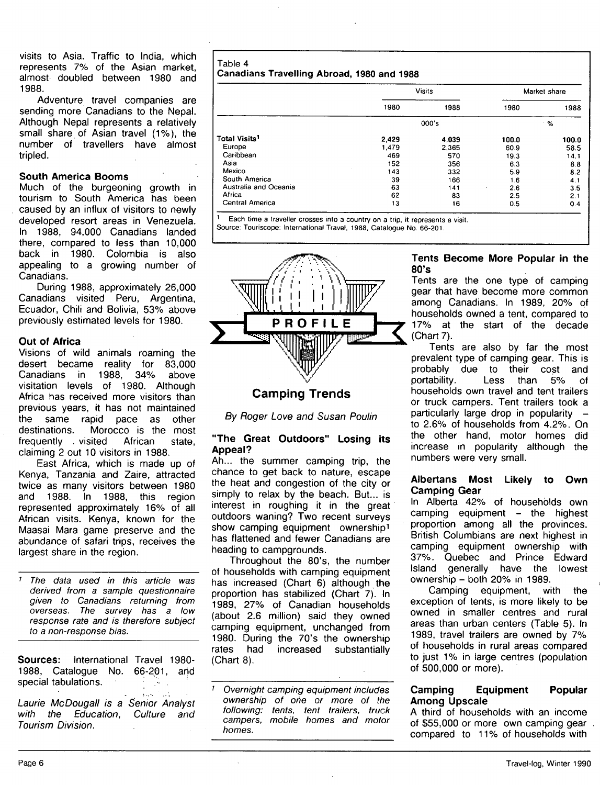visits to Asia. Traffic to India, which represents 7% of the Asian market, almost doubled between 1980 and 1988.

Adventure travel companies are sending more Canadians to the Nepal. Although Nepal represents a relatively small share of Asian travel (1%), the number of travellers have almost tripled.

#### **South America Booms**

Much of the burgeoning growth in tourism to South America has been caused by an influx of visitors to newly developed resort areas in Venezuela. In 1988, 94,000 Canadians landed there, compared to less than 10,000 back in 1980. Colombia is also appealing to a growing number of Canadians.

During 1988, approximately 26,000 Canadians visited Peru, Argentina, Ecuador, Chili and Bolivia, 53% above previously estimated levels for 1980,

#### **Out of Africa**

Visions of wild animals roaming the desert became reality for 83,000 Canadians in 1988, 34% above visitation levels of 1980. Although Africa has received more visitors than previous years, it has not maintained the same rapid pace as other destinations. Morocco is the most frequently . visited African state, claiming 2 out 10 visitors in 1988.

East Africa, which is made up of Kenya, Tanzania and Zaire, attracted twice as many visitors between 1980 and 1988. In 1988, this region represented approximately 16% of all African visits. Kenya, known for the Maasai Mara game preserve and the abundance of safari trips, receives the largest share in the region.

The data used in this article was derived from a sample questionnaire given to Canadians returning from overseas. The survey has a low response rate and is therefore subject to a non-response bias.

**Sources:** international Travel 1980- 1988, Catalogue No. 66-201, arid special tabulations.

Laurie McDougall is a Senior Analyst with the Education, Culture and Tourism Division.

#### **Table 4 Canadians Travelling Abroad , 1980 and 1988**

|                                 | <b>Visits</b> |       | Market share |       |
|---------------------------------|---------------|-------|--------------|-------|
|                                 | 1980          | 1988  | 1980         | 1988  |
|                                 | 000's         |       | %            |       |
| <b>Total Visits<sup>1</sup></b> | 2,429         | 4,039 | 100.0        | 100.0 |
| Europe                          | 1.479         | 2.365 | 60.9         | 58.5  |
| Caribbean                       | 469           | 570   | 19.3         | 14.1  |
| Asia                            | 152           | 356   | 6.3          | 8.8   |
| Mexico                          | 143           | 332   | 5.9          | 8.2   |
| South America                   | 39            | 166   | 1.6          | 4.1   |
| Australia and Oceania           | 63            | 141   | 2.6<br>٠     | 3.5   |
| Africa                          | 62            | 83    | 2.5          | 2.1   |
| Central America                 | 13            | 16    | 0.5          | 0.4   |

<sup>1</sup> Each time a traveller crosses into a country on a trip, it represents a visit. Source: Touriscope: International Travel, 1988. Catalogue No. 66-201.



# **Camping Trends**

By Roger Love and Susan Poulin

#### **"The Great Outdoors" Losing its Appeal?**

Ah... the summer camping trip, the chance to get back to nature, escape the heat and congestion of the city or simply to relax by the beach. But... is interest in roughing it in the great outdoors waning? Two recent surveys show camping equipment ownership<sup>1</sup> has flattened and fewer Canadians are heading to campgrounds.

Throughout the 80's, the number of households with camping equipment has increased (Chart 6) although the proportion has stabilized (Chart 7). In 1989, 27% of Canadian households (about 2.6 million) said they owned camping equipment, unchanged from 1980. During the 70's the ownership rates had increased substantially (Chart 8).

' Overnight camping equipment includes ownership of one or more of the following: tents, tent trailers, truck campers, mobile homes and motor homes.

#### **Tents Become More Popular in the 80's**

Tents are the one type of camping gear that have become more common among Canadians. In 1989, 20% of households owned a tent, compared to 17% at the start of the decade (Chart 7).

Tents are also by far the most prevalent type of camping gear. This is probably due to their cost and portability. Less than 5% of households own travel and tent trailers or truck campers. Tent trailers took a particularly large drop in popularity to 2.6% of households from 4.2%. On the other hand, motor homes did increase in popularity although the numbers were very small.

#### **Albertans Most Likely to Own Camping Gear**

In Alberta 42% of households own camping equipment - the highest proportion among all the provinces. British Columbians are next highest in camping equipment ownership with 37%. Quebec and Prince Edward Island generally have the lowest ownership - both 20% in 1989.

Camping equipment, with the exception of tents, is more likely to be owned in smaller centres and rural areas than urban centers (Table 5). In 1989, travel trailers are owned by 7% of households in rural areas compared to just 1% in large centres (population of 500,000 or more).

#### **Camping Equipment Popular Among Upscale**

A third of households with an income of \$55,000 or more own camping gear compared to 11% of households with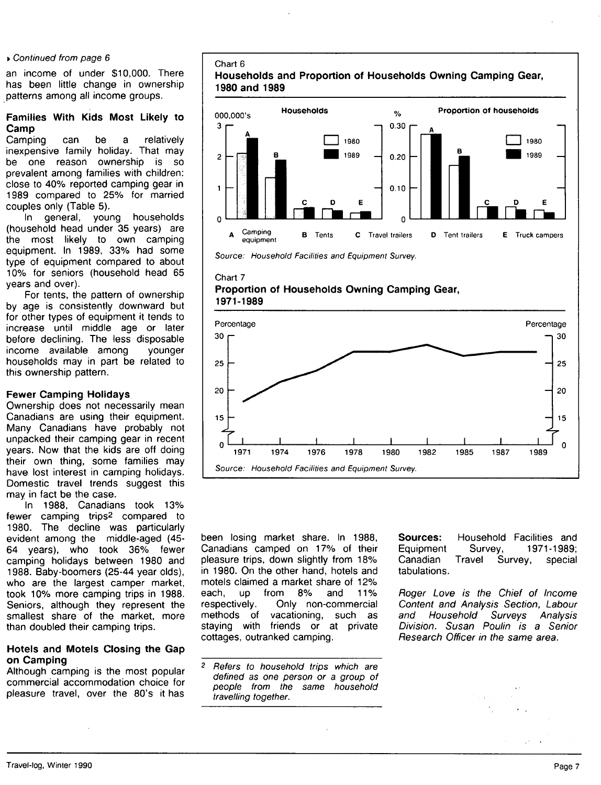#### » Continued from page 6

an income of under \$10,000. There has been little change in ownership patterns among all income groups.

### **Families With Kids Most Likely to Camp**

Camping can be a relatively inexpensive family holiday. That may be one reason ownership is so prevalent among families with children: close to 40% reported camping gear in 1989 compared to 25% for married couples only (Table 5).

In general, young households (household head under 35 years) are the most likely to own camping equipment. In 1989, 33% had some type of equipment compared to about 10% for seniors (household head 65 years and over).

For tents, the pattern of ownership by age is consistently downward but for other types of equipment it tends to increase until middle age or later before declining. The less disposable income available among younger households may in part be related to this ownership pattern.

#### **Fewer Camping Holidays**

Ownership does not necessarily mean Canadians are using their equipment. Many Canadians have probably not unpacked their camping gear in recent years. Now that the kids are off doing their own thing, some families may have lost interest in camping holidays. Domestic travel trends suggest this may in fact be the case.

In 1988, Canadians took 13% fewer camping trips2 compared to 1980. The decline was particularly evident among the middle-aged (45- 64 years), who took 36% fewer camping holidays between 1980 and 1988. Baby-boomers (25-44 year olds), who are the largest camper market, took 10% more camping trips in 1988. Seniors, although they represent the smallest share of the market, more than doubled their camping trips.

#### **Hotels and Motels Closing the Gap on Camping**

Although camping is the most popular commercial accommodation choice for pleasure travel, over the 80's it has

# Chart 6 **Households and Proportion of Households Owning Camping Gear, 1980 and 1989**





#### Chart 7 **Proportion of Households Owning Camping Gear, 1971-1989**



been losing market share. In 1988, Canadians camped on 17% of their pleasure trips, down slightly from 18% in 1980. On the other hand, hotels and motels claimed a market share of 12% each, up from 8% and 11% respectively. Only non-commercial methods of vacationing, such as staying with friends or at private cottages, outranked camping.

 $\overline{2}$ Refers to household trips which are defined as one person or a group of people from the same household travelling together.

**Sources:** Household Facilities and Equipment Survey, 1971-1989; Canadian Travel Survey, special tabulations.

Roger Love is the Chief of Income Content and Analysis Section, Labour and Household Surveys Analysis Division. Susan Poulin is a Senior Research Officer in the same area.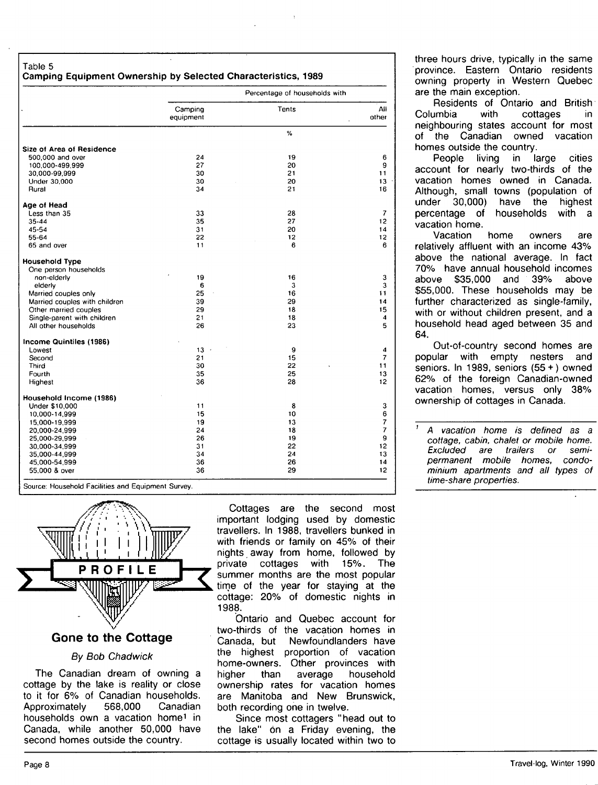#### **Table 5 Camping Equipment Ownership by Selected Characteristics, 1989**

|                               | Percentage of households with |       |                |
|-------------------------------|-------------------------------|-------|----------------|
|                               | Camping                       | Tents | All            |
|                               | equipment                     |       | other          |
|                               |                               | %     |                |
| Size of Area of Residence     |                               |       |                |
| 500,000 and over              | 24                            | 19    | 6              |
| 100.000-499.999               | 27                            | 20    | 9              |
| 30.000-99.999                 | 30                            | 21    | 11             |
| Under 30,000                  | 30                            | 20    | 13             |
| Rural                         | 34                            | 21    | 16             |
| Age of Head                   |                               |       |                |
| Less than 35                  | 33                            | 28    | $\overline{7}$ |
| 35-44                         | 35                            | 27    | 12             |
| 45-54                         | 31                            | 20    | 14             |
| 55-64                         | 22                            | 12    | 12             |
| 65 and over                   | 11                            | 6     | 6              |
| <b>Household Type</b>         |                               |       |                |
| One person households         |                               |       |                |
| non-elderly                   | 19                            | 16    | 3              |
| elderly                       | 6                             | 3     | 3              |
| Married couples only          | 25                            | 16    | 11             |
| Married couples with children | 39                            | 29    | 14             |
| Other married couples         | 29                            | 18    | 15             |
|                               | 21                            | 18    | 4              |
| Single-parent with children   |                               |       |                |
| All other households          | 26                            | 23    | 5              |
| Income Quintiles (1986)       |                               |       |                |
| Lowest                        | $13 -$                        | 9     | 4              |
| Second                        | 21                            | 15    | 7              |
| Third                         | 30                            | 22    | 11             |
| Fourth                        | 35                            | 25    | 13             |
| Highest                       | 36                            | 28    | 12             |
| Household Income (1986)       |                               |       |                |
| Under \$10,000                | 11                            | 8     | 3              |
| 10,000-14,999                 | 15                            | 10    | 6              |
| 15,000-19,999                 | 19                            | 13    | $\overline{7}$ |
| 20,000-24,999                 | 24                            | 18    | 7              |
| 25,000-29,999                 | 26                            | 19    | 9              |
| 30,000-34,999                 | 31                            | 22    | 12             |
| 35,000-44,999                 | 34                            | 24    | 13             |
| 45,000-54,999                 | 36                            | 26    | 14             |
| 55,000 & over                 | 36                            | 29    | 12             |

hold Facilities and Equipment Survey.



#### Gone to the Cottage

#### By Bob Chadwick

The Canadian dream of owning a cottage by the lake is reality or close to it for 6% of Canadian households. Approximately 568,000 Canadian households own a vacation home<sup>1</sup> in Canada, while another 50,000 have second homes outside the country.

Cottages are the second most important lodging used by domestic travellers. In 1988, travellers bunked in with friends or family on 45% of their nights away from home, followed by private cottages with 15%. The summer months are the most popular time of the year for staying at the cottage: 20% of domestic nights in 1988.

Ontario and Ouebec account for two-thirds of the vacation homes in Canada, but Newfoundlanders have the highest proportion of vacation home-owners. Other provinces with higher than average household ownership rates for vacation homes are Manitoba and New Brunswick, both recording one in twelve.

Since most cottagers "head out to the lake" on a Friday evening, the cottage is usually located within two to

three hours drive, typically in the same province. Eastern Ontario residents owning property in Western Quebec are the main exception.

Residents of Ontario and British Columbia with cottages in neighbouring states account for most of the Canadian owned vacation homes outside the country.

People living in large cities account for nearly two-thirds of the vacation homes owned in Canada. Although, small towns (population of under 30,000) have the highest percentage of households with a vacation home.

Vacation home owners are relatively affluent with an income 43% above the national average. In fact 70% have annual household incomes above \$35,000 and 39% above \$55,000. These households may be further characterized as single-family, with or without children present, and a household head aged between 35 and 64.

Out-of-country second homes are popular with empty nesters and seniors. In 1989, seniors (55 + ) owned 62% of the foreign Canadian-owned vacation homes, versus only 38% ownership of cottages in Canada.

 $\overline{1}$ A vacation home is defined as a cottage, cabin, chalet or mobile home. Excluded are trailers or semipermanent mobile homes, condominium apartments and all types of time-share properties.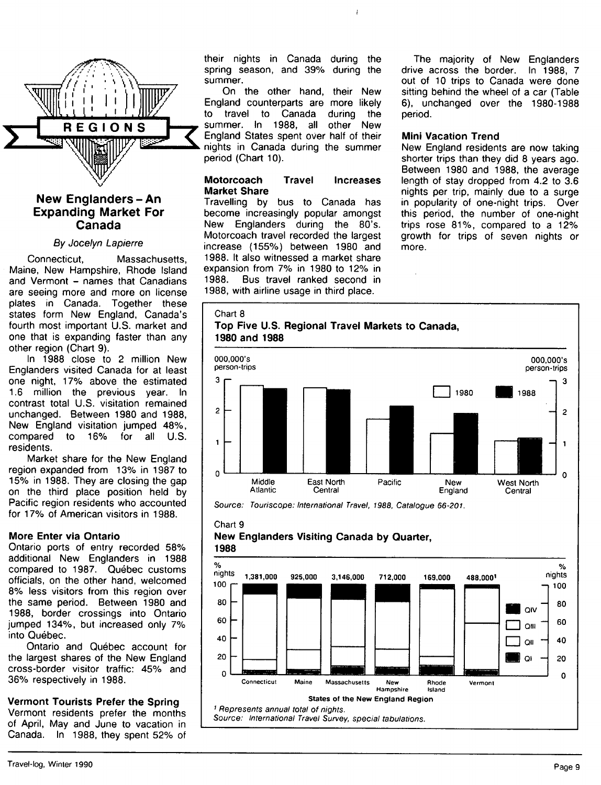

# **Expanding Market For Canada**

#### By Jocelyn Lapierre

Connecticut, Massachusetts, Maine, New Hampshire, Rhode Island and Vermont - names that Canadians are seeing more and more on license plates in Canada. Together these states form New England, Canada's fourth most important U.S. market and one that is expanding faster than any other region (Chart 9).

In 1988 close to 2 million New Englanders visited Canada for at least one night, 17% above the estimated 1.6 million the previous year. In contrast total U.S. visitation remained unchanged. Between 1980 and 1988, New England visitation jumped 48%, compared to 16% for all U.S. residents.

Market share for the New England region expanded from 13% in 1987 to 15% in 1988. They are closing the gap on the third place position held by Pacific region residents who accounted for 17% of American visitors in 1988.

# **More Enter via Ontario**

Ontario ports of entry recorded 58% additional New Englanders in 1988 compared to 1987. Québec customs officials, on the other hand, welcomed 8% less visitors from this region over the same period. Between 1980 and 1988, border crossings into Ontario jumped 134%, but increased only 7% into Ouebec.

Ontario and Quebec account for the largest shares of the New England cross-border visitor traffic: 45% and 36% respectively in 1988.

# **Vermont Tourists Prefer the Spring**

Vermont residents prefer the months of April, May and June to vacation in Canada. In 1988, they spent 52% of their nights in Canada during the spring season, and 39% during the summer.

 $\mathbf{r}$ 

On the other hand, their New England counterparts are more likely to travel to Canada during the summer. In 1988, all other New England States spent over half of their nights in Canada during the summer period (Chart 10).

# **Motorcoach Travel Increases Market Share**

Travelling by bus to Canada has become increasingly popular amongst New Englanders during the 80's. Motorcoach travel recorded the largest increase (155%) between 1980 and 1988. It also witnessed a market share expansion from 7% in 1980 to 12% in 1988. Bus travel ranked second in 1988, with airline usage in third place.

The majority of New Englanders drive across the border. In 1988, 7 out of 10 trips to Canada were done sitting behind the wheel of a car (Table 6), unchanged over the 1980-1988 period.

# **Mini Vacation Trend**

New England residents are now taking shorter trips than they did 8 years ago. Between 1980 and 1988, the average length of stay dropped from 4.2 to 3.6 nights per trip, mainly due to a surge in popularity of one-night trips. Over this period, the number of one-night trips rose 81%, compared to a 12% growth for trips of seven nights or more.

# Chart 8





Source: Touriscope: International Travel, 1988, Catalogue 66-201.

#### *Chan* 9 **New Englanders Visiting Canada by Quarter, 1988**

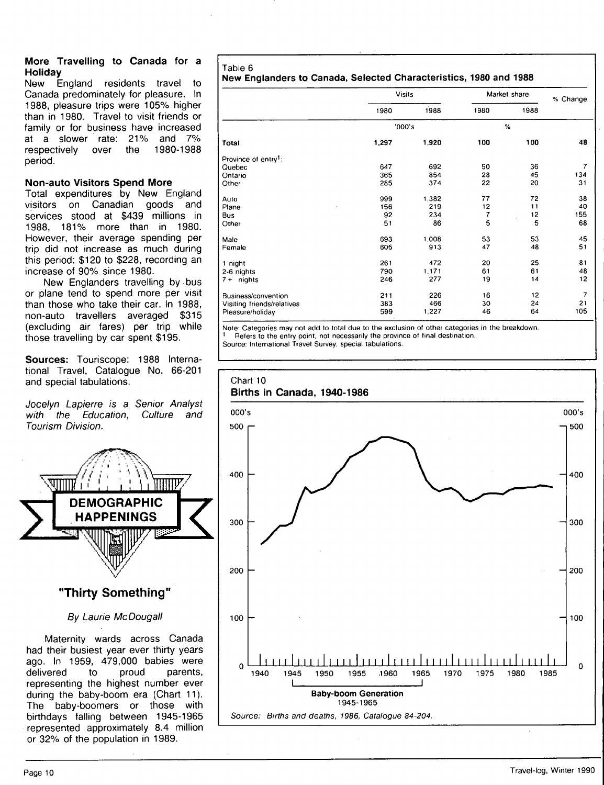#### **More Travelling to Canada for a Holiday**

New England residents travel to Canada predominately for pleasure. In 1988, pleasure trips were 105% higher than in 1980. Travel to visit friends or family or tor business have increased at a slower rate: 21% and 7% respectively over the 1980-1988 period.

# **Non-auto Visitors Spend More**

Total expenditures by New England visitors on Canadian goods and services stood at \$439 millions in 1988, 181% more than in 1980. However, their average spending per trip did not increase as much during this period: \$120 to \$228, recording an increase of 90% since 1980.

New Englanders travelling by bus or plane tend to spend more per visit than those who take their car. In 1988, non-auto travellers averaged \$315 (excluding air fares) per trip while those travelling by car spent \$195.

**Sources:** Touriscope: 1988 International Travel, Catalogue No. 66-201 and special tabulations.

Jocelyn Lapierre is a Senior Analyst with the Education, Culture and Tourism Division.



# By Laurie McDougall

Maternity wards across Canada had their busiest year ever thirty years ago. In 1959, 479,000 babies were<br>delivered to proud parents, delivered to representing the highest number ever during the baby-boom era (Chart 11). The baby-boomers or those with birthdays falling between 1945-1965 represented approximately 8.4 million or 32% of the population in 1989.

# Table 6

# **New Englanders to Canada, Selected Characteristics, 1980 and 1988**

|                                  | <b>Visits</b> |       | Market share |      | % Change |  |
|----------------------------------|---------------|-------|--------------|------|----------|--|
|                                  | 1980          | 1988  | 1980         | 1988 |          |  |
|                                  | '000's        |       |              | %    |          |  |
| Total                            | 1,297         | 1,920 | 100          | 100  | 48       |  |
| Province of entry <sup>1</sup> : |               |       |              |      |          |  |
| Quebec                           | 647           | 692   | 50           | 36   | 7        |  |
| Ontario                          | 365           | 854   | 28           | 45   | 134      |  |
| Other                            | 285           | 374   | 22           | 20   | 31       |  |
| Auto                             | 999           | 1,382 | 77           | 72   | 38       |  |
| Plane                            | 156           | 219   | 12           | 11   | 40       |  |
| <b>Bus</b>                       | 92            | 234   | 7            | 12   | 155      |  |
| Other                            | 51            | 86    | 5            | 5    | 68       |  |
| Male                             | 693           | 1,008 | 53           | 53   | 45       |  |
| Female                           | 605           | 913   | 47           | 48   | 51       |  |
| 1 night                          | 261           | 472   | 20           | 25   | 81       |  |
| 2-6 nights                       | 790           | 1,171 | 61           | 61   | 48       |  |
| nights<br>$7 +$                  | 246           | 277   | 19           | 14   | 12       |  |
| Business/convention              | 211           | 226   | 16           | 12   | 7        |  |
| Visiting friends/relatives       | 383           | 466   | 30           | 24   | 21       |  |
| Pleasure/holiday                 | 599           | 1,227 | 46           | 64   | 105      |  |

Note: Categories may not add to total due to the exclusion of other categories in the breakdown. Refers to the entry point, not necessarily the province of final destination.

Source: International Travel Survey, special tabulations.

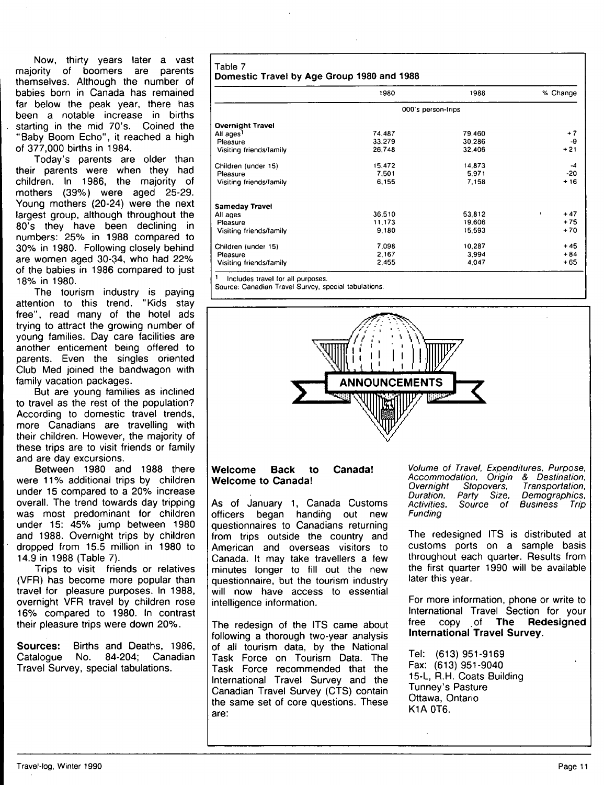Now, thirty years later a vast majority of boomers are parents themselves. Although the number of babies born in Canada has remained far below the peak year, there has been a notable increase in births starting in the mid 70's. Coined the "Baby Boom Echo", it reached a high of 377,000 births in 1984.

Today's parents are older than their parents were when they had children. In 1986, the majority of mothers (39%) were aged 25-29. Young mothers (20-24) were the next largest group, although throughout the 80's they have been declining in numbers: 25% in 1988 compared to 30% in 1980. Following closely behind are women aged 30-34, who had 22% of the babies in 1986 compared to just 18% in 1980.

The tourism industry is paying attention to this trend. "Kids stay free", read many of the hotel ads trying to attract the growing number of young families. Day care facilities are another enticement being offered to parents. Even the singles oriented Club Med joined the bandwagon with family vacation packages.

But are young families as inclined to travel as the rest of the population? According to domestic travel trends, more Canadians are travelling with their children. However, the majority of these trips are to visit friends or family and are day excursions.

Between 1980 and 1988 there were 11% additional trips by children under 15 compared to a 20% increase overall. The trend towards day tripping was most predominant for children under 15: 45% jump between 1980 and 1988. Overnight trips by children dropped from 15.5 million in 1980 to 14,9 in 1988 (Table 7).

Trips to visit friends or relatives (VFR) has become more popular than travel tor pleasure purposes. In 1988, overnight VFR travel by children rose 16% compared to 1980. In contrast their pleasure trips were down 20%.

**Sources:** Births and Deaths, 1986, Catalogue No. 84-204; Canadian Catalogue No. 84-204; Canadian Travel Survey, special tabulations.

**Table 7 Domestic Travel by Age Group 1980 and 1988** 

|                         | 1980               | 1988   | % Change   |  |
|-------------------------|--------------------|--------|------------|--|
|                         | 000's person-trips |        |            |  |
| <b>Overnight Travel</b> |                    |        |            |  |
| All ages <sup>1</sup>   | 74.487             | 79,460 | $+7$       |  |
| Pleasure                | 33.279             | 30.286 | -9         |  |
| Visiting friends/family | 26,748             | 32,406 | $+21$      |  |
| Children (under 15)     | 15,472             | 14.873 | -4         |  |
| Pleasure                | 7,501              | 5.971  | -20        |  |
| Visiting friends/family | 6.155              | 7.158  | $+16$      |  |
| <b>Sameday Travel</b>   |                    |        |            |  |
| All ages                | 36,510             | 53.812 | $+47$<br>÷ |  |
| Pleasure                | 11,173             | 19.606 | $+75$      |  |
| Visiting friends/family | 9.180              | 15.593 | $+70$      |  |
| Children (under 15)     | 7.098              | 10,287 | $+45$      |  |
| Pleasure                | 2,167              | 3.994  | $+84$      |  |
| Visiting friends/family | 2,455              | 4,047  | +65        |  |

' Includes travel for all purposes.

Source: Canadian Travel Survey, special tabulations.



# **Welcome Back to Canada! Welcome to Canada!**

As of January 1, Canada Customs officers began handing out new questionnaires to Canadians returning from trips outside the country and American and overseas visitors to Canada. It may take travellers a few minutes longer to fill out the new questionnaire, but the tourism industry will now have access to essential intelligence information.

The redesign of the ITS came about following a thorough two-year analysis of all tourism data, by the National Task Force on Tourism Data. The Task Force recommended that the International Travel Survey and the Canadian Travel Survey (CTS) contain the same set of core questions. These are:

Volume of Travel, Expenditures, Purpose Accommodation, Origin & Destination,<br>Overnight Stopovers, Transportation, Overnight Stopovers,<br>Duration, Party Size, Duration, Party Size,<br>Activities, Source of Source of Funding Transportation, Demographics, Business Trip

The redesigned ITS is distributed at customs ports on a sample basis throughout each quarter. Results from the first quarter 1990 will be available later this year.

For more information, phone or write to International Travel Section for your free copy of **The Redesigned International Travel Survey.** 

Tel: (613) 951-9169 Fax: (613) 951-9040 15-L, R.H. Coats Building Tunney's Pasture Ottawa, Ontario K1A 0T6.